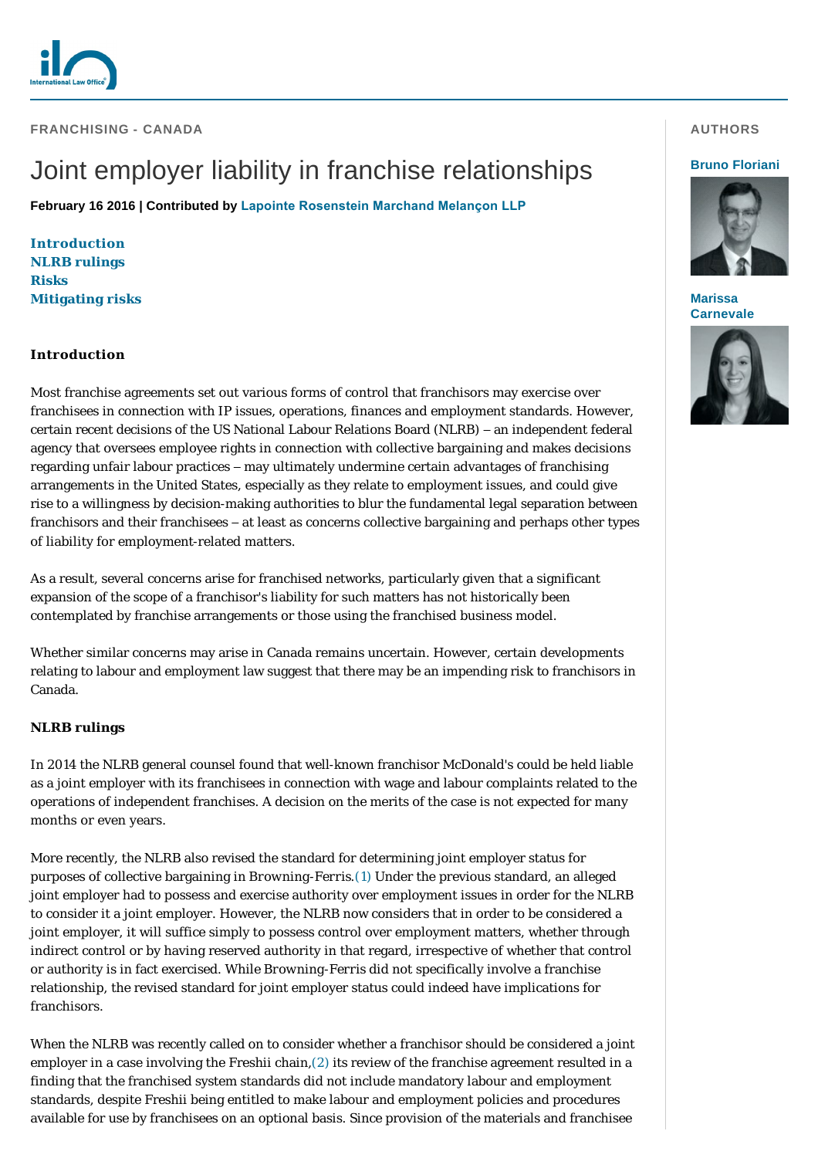**FRANCHISING - CANADA** 

# Joint employer liability in franchise relationships

**February 16 2016 | Contributed by [Lapointe Rosenstein Marchand Melançon LLP](http://www.internationallawoffice.com/gesr.ashx?l=7QM0J3B)**

**[Introduction](#page-0-0) [NLRB rulings](#page-0-1) [Risks](#page-1-0) [Mitigating risks](#page-2-0)**

## <span id="page-0-0"></span>**Introduction**

Most franchise agreements set out various forms of control that franchisors may exercise over franchisees in connection with IP issues, operations, finances and employment standards. However, certain recent decisions of the US National Labour Relations Board (NLRB) – an independent federal agency that oversees employee rights in connection with collective bargaining and makes decisions regarding unfair labour practices – may ultimately undermine certain advantages of franchising arrangements in the United States, especially as they relate to employment issues, and could give rise to a willingness by decision-making authorities to blur the fundamental legal separation between franchisors and their franchisees – at least as concerns collective bargaining and perhaps other types of liability for employment-related matters.

As a result, several concerns arise for franchised networks, particularly given that a significant expansion of the scope of a franchisor's liability for such matters has not historically been contemplated by franchise arrangements or those using the franchised business model.

Whether similar concerns may arise in Canada remains uncertain. However, certain developments relating to labour and employment law suggest that there may be an impending risk to franchisors in Canada.

## <span id="page-0-1"></span>**NLRB rulings**

In 2014 the NLRB general counsel found that well-known franchisor McDonald's could be held liable as a joint employer with its franchisees in connection with wage and labour complaints related to the operations of independent franchises. A decision on the merits of the case is not expected for many months or even years.

More recently, the NLRB also revised the standard for determining joint employer status for purposes of collective bargaining in *Browning-Ferris*.[\(1\)](#page-3-0) Under the previous standard, an alleged joint employer had to possess and exercise authority over employment issues in order for the NLRB to consider it a joint employer. However, the NLRB now considers that in order to be considered a joint employer, it will suffice simply to possess control over employment matters, whether through indirect control or by having reserved authority in that regard, irrespective of whether that control or authority is in fact exercised. While *Browning-Ferris* did not specifically involve a franchise relationship, the revised standard for joint employer status could indeed have implications for franchisors.

When the NLRB was recently called on to consider whether a franchisor should be considered a joint employer in a case involving the Freshii chain,[\(2\)](#page-3-1) its review of the franchise agreement resulted in a finding that the franchised system standards did not include mandatory labour and employment standards, despite Freshii being entitled to make labour and employment policies and procedures available for use by franchisees on an optional basis. Since provision of the materials and franchisee

#### **AUTHORS**

#### **[Bruno Floriani](http://www.internationallawoffice.com/gesr.ashx?l=7QM0J3E)**



**Marissa [Carnevale](http://www.internationallawoffice.com/gesr.ashx?l=7QM0J3P)**

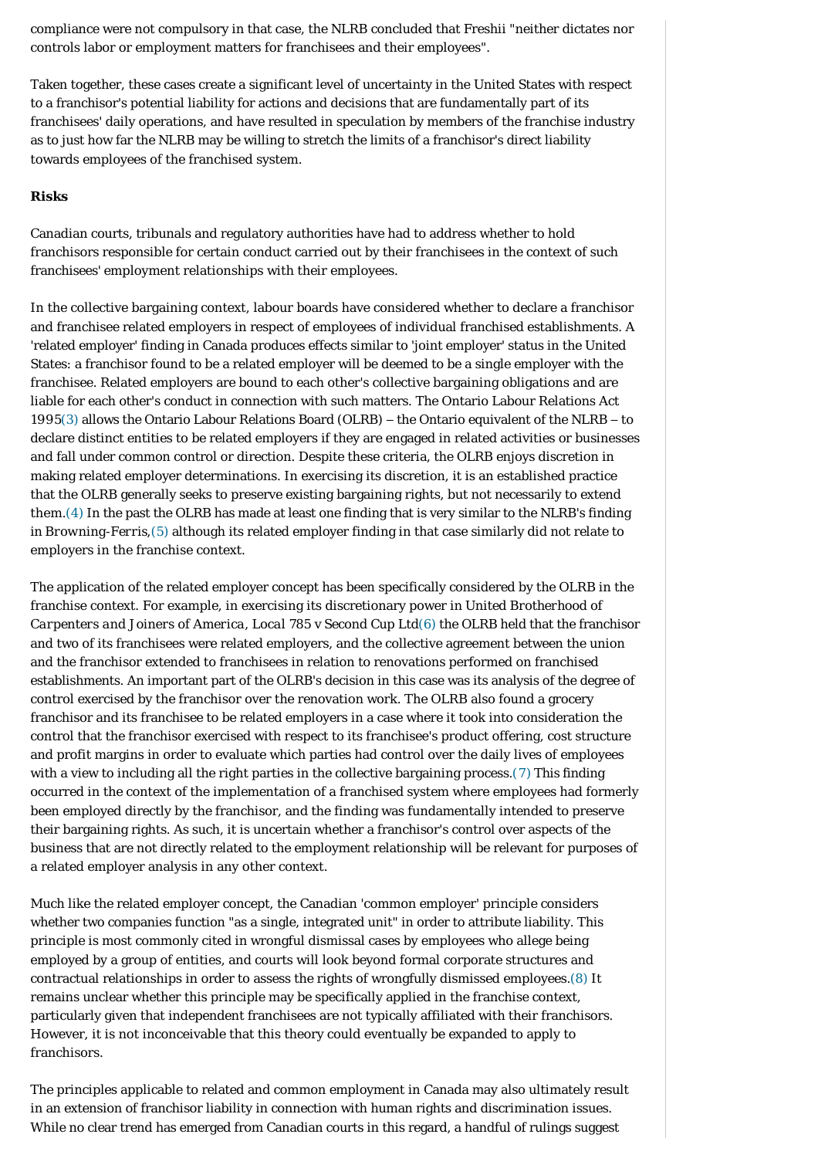compliance were not compulsory in that case, the NLRB concluded that Freshii "neither dictates nor controls labor or employment matters for franchisees and their employees".

Taken together, these cases create a significant level of uncertainty in the United States with respect to a franchisor's potential liability for actions and decisions that are fundamentally part of its franchisees' daily operations, and have resulted in speculation by members of the franchise industry as to just how far the NLRB may be willing to stretch the limits of a franchisor's direct liability towards employees of the franchised system.

### <span id="page-1-0"></span>**Risks**

Canadian courts, tribunals and regulatory authorities have had to address whether to hold franchisors responsible for certain conduct carried out by their franchisees in the context of such franchisees' employment relationships with their employees.

In the collective bargaining context, labour boards have considered whether to declare a franchisor and franchisee related employers in respect of employees of individual franchised establishments. A 'related employer' finding in Canada produces effects similar to 'joint employer' status in the United States: a franchisor found to be a related employer will be deemed to be a single employer with the franchisee. Related employers are bound to each other's collective bargaining obligations and are liable for each other's conduct in connection with such matters. The Ontario Labour Relations Act 199[5\(3\)](#page-3-2) allows the Ontario Labour Relations Board (OLRB) – the Ontario equivalent of the NLRB – to declare distinct entities to be related employers if they are engaged in related activities or businesses and fall under common control or direction. Despite these criteria, the OLRB enjoys discretion in making related employer determinations. In exercising its discretion, it is an established practice that the OLRB generally seeks to preserve existing bargaining rights, but not necessarily to extend them.[\(4\)](#page-3-3) In the past the OLRB has made at least one finding that is very similar to the NLRB's finding in *Browning-Ferris*,[\(5\)](#page-3-4) although its related employer finding in that case similarly did not relate to employers in the franchise context.

The application of the related employer concept has been specifically considered by the OLRB in the franchise context. For example, in exercising its discretionary power in *United Brotherhood of Carpenters and Joiners of America, Local 785 v Second Cup Ltd*[\(6\)](#page-3-5) the OLRB held that the franchisor and two of its franchisees were related employers, and the collective agreement between the union and the franchisor extended to franchisees in relation to renovations performed on franchised establishments. An important part of the OLRB's decision in this case was its analysis of the degree of control exercised by the franchisor over the renovation work. The OLRB also found a grocery franchisor and its franchisee to be related employers in a case where it took into consideration the control that the franchisor exercised with respect to its franchisee's product offering, cost structure and profit margins in order to evaluate which parties had control over the daily lives of employees with a view to including all the right parties in the collective bargaining process.[\(7\)](#page-3-6) This finding occurred in the context of the implementation of a franchised system where employees had formerly been employed directly by the franchisor, and the finding was fundamentally intended to preserve their bargaining rights. As such, it is uncertain whether a franchisor's control over aspects of the business that are not directly related to the employment relationship will be relevant for purposes of a related employer analysis in any other context.

Much like the related employer concept, the Canadian 'common employer' principle considers whether two companies function "as a single, integrated unit" in order to attribute liability. This principle is most commonly cited in wrongful dismissal cases by employees who allege being employed by a group of entities, and courts will look beyond formal corporate structures and contractual relationships in order to assess the rights of wrongfully dismissed employees.[\(8\)](#page-3-7) It remains unclear whether this principle may be specifically applied in the franchise context, particularly given that independent franchisees are not typically affiliated with their franchisors. However, it is not inconceivable that this theory could eventually be expanded to apply to franchisors.

The principles applicable to related and common employment in Canada may also ultimately result in an extension of franchisor liability in connection with human rights and discrimination issues. While no clear trend has emerged from Canadian courts in this regard, a handful of rulings suggest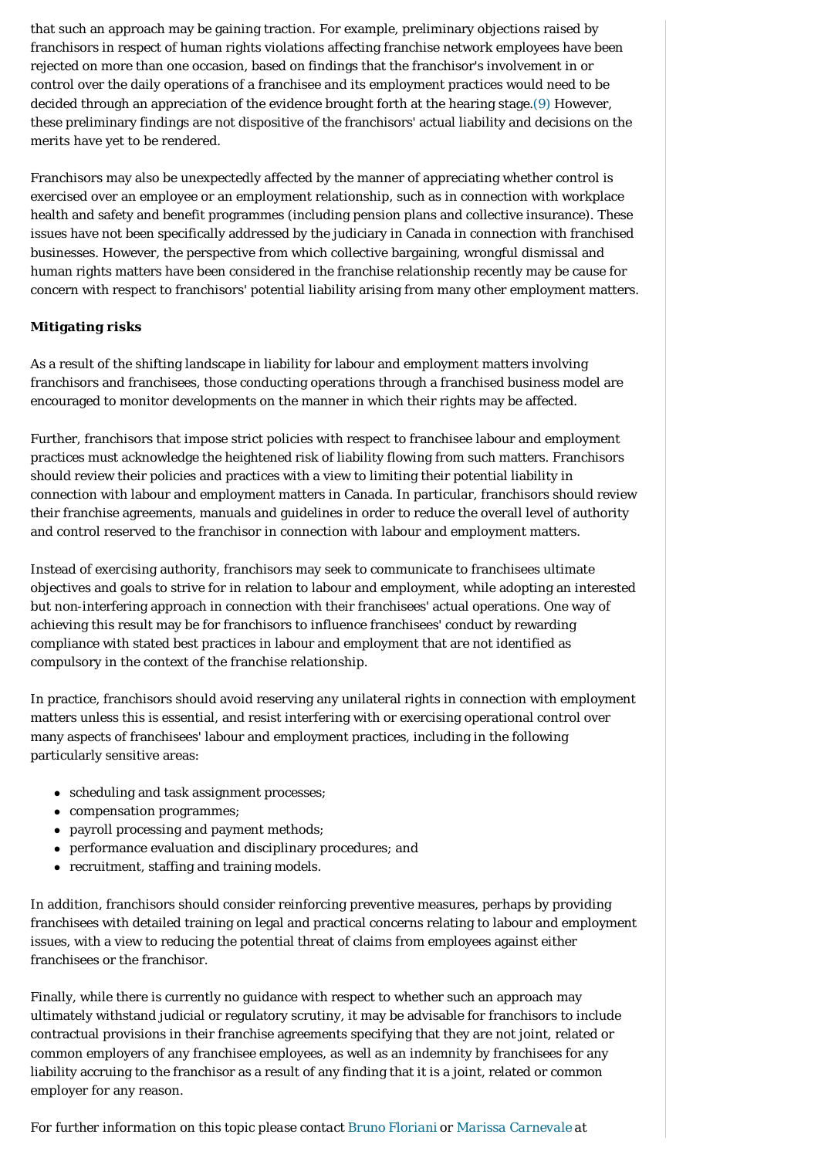that such an approach may be gaining traction. For example, preliminary objections raised by franchisors in respect of human rights violations affecting franchise network employees have been rejected on more than one occasion, based on findings that the franchisor's involvement in or control over the daily operations of a franchisee and its employment practices would need to be decided through an appreciation of the evidence brought forth at the hearing stage.[\(9\)](#page-3-8) However, these preliminary findings are not dispositive of the franchisors' actual liability and decisions on the merits have yet to be rendered.

Franchisors may also be unexpectedly affected by the manner of appreciating whether control is exercised over an employee or an employment relationship, such as in connection with workplace health and safety and benefit programmes (including pension plans and collective insurance). These issues have not been specifically addressed by the judiciary in Canada in connection with franchised businesses. However, the perspective from which collective bargaining, wrongful dismissal and human rights matters have been considered in the franchise relationship recently may be cause for concern with respect to franchisors' potential liability arising from many other employment matters.

## <span id="page-2-0"></span>**Mitigating risks**

As a result of the shifting landscape in liability for labour and employment matters involving franchisors and franchisees, those conducting operations through a franchised business model are encouraged to monitor developments on the manner in which their rights may be affected.

Further, franchisors that impose strict policies with respect to franchisee labour and employment practices must acknowledge the heightened risk of liability flowing from such matters. Franchisors should review their policies and practices with a view to limiting their potential liability in connection with labour and employment matters in Canada. In particular, franchisors should review their franchise agreements, manuals and guidelines in order to reduce the overall level of authority and control reserved to the franchisor in connection with labour and employment matters.

Instead of exercising authority, franchisors may seek to communicate to franchisees ultimate objectives and goals to strive for in relation to labour and employment, while adopting an interested but non-interfering approach in connection with their franchisees' actual operations. One way of achieving this result may be for franchisors to influence franchisees' conduct by rewarding compliance with stated best practices in labour and employment that are not identified as compulsory in the context of the franchise relationship.

In practice, franchisors should avoid reserving any unilateral rights in connection with employment matters unless this is essential, and resist interfering with or exercising operational control over many aspects of franchisees' labour and employment practices, including in the following particularly sensitive areas:

- scheduling and task assignment processes;
- $\bullet$  compensation programmes;
- $\bullet$  payroll processing and payment methods;
- performance evaluation and disciplinary procedures; and
- recruitment, staffing and training models.

In addition, franchisors should consider reinforcing preventive measures, perhaps by providing franchisees with detailed training on legal and practical concerns relating to labour and employment issues, with a view to reducing the potential threat of claims from employees against either franchisees or the franchisor.

Finally, while there is currently no guidance with respect to whether such an approach may ultimately withstand judicial or regulatory scrutiny, it may be advisable for franchisors to include contractual provisions in their franchise agreements specifying that they are not joint, related or common employers of any franchisee employees, as well as an indemnity by franchisees for any liability accruing to the franchisor as a result of any finding that it is a joint, related or common employer for any reason.

*For further information on this topic please contact [Bruno Floriani](http://www.internationallawoffice.com/gesr.ashx?l=7QM0J3E) or [Marissa Carnevale](http://www.internationallawoffice.com/gesr.ashx?l=7QM0J3E) at*